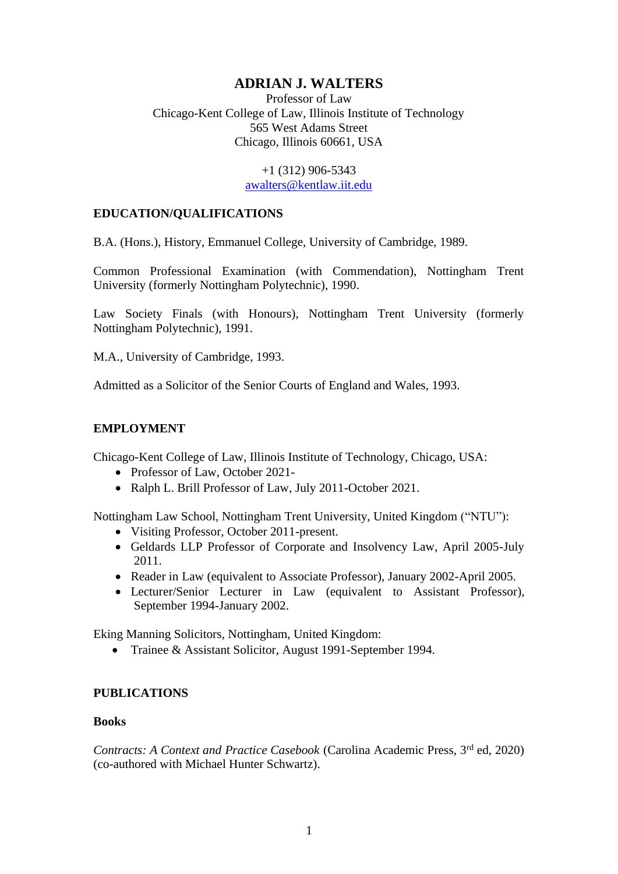# **ADRIAN J. WALTERS**

Professor of Law Chicago-Kent College of Law, Illinois Institute of Technology 565 West Adams Street Chicago, Illinois 60661, USA

> +1 (312) 906-5343 [awalters@kentlaw.iit.edu](mailto:awalters@kentlaw.iit.edu)

### **EDUCATION/QUALIFICATIONS**

B.A. (Hons.), History, Emmanuel College, University of Cambridge, 1989.

Common Professional Examination (with Commendation), Nottingham Trent University (formerly Nottingham Polytechnic), 1990.

Law Society Finals (with Honours), Nottingham Trent University (formerly Nottingham Polytechnic), 1991.

M.A., University of Cambridge, 1993.

Admitted as a Solicitor of the Senior Courts of England and Wales, 1993.

# **EMPLOYMENT**

Chicago-Kent College of Law, Illinois Institute of Technology, Chicago, USA:

- Professor of Law, October 2021-
- Ralph L. Brill Professor of Law, July 2011-October 2021.

Nottingham Law School, Nottingham Trent University, United Kingdom ("NTU"):

- Visiting Professor, October 2011-present.
- Geldards LLP Professor of Corporate and Insolvency Law, April 2005-July 2011.
- Reader in Law (equivalent to Associate Professor), January 2002-April 2005.
- Lecturer/Senior Lecturer in Law (equivalent to Assistant Professor), September 1994-January 2002.

Eking Manning Solicitors, Nottingham, United Kingdom:

• Trainee & Assistant Solicitor, August 1991-September 1994.

# **PUBLICATIONS**

### **Books**

*Contracts: A Context and Practice Casebook (Carolina Academic Press, 3<sup>rd</sup> ed, 2020)* (co-authored with Michael Hunter Schwartz).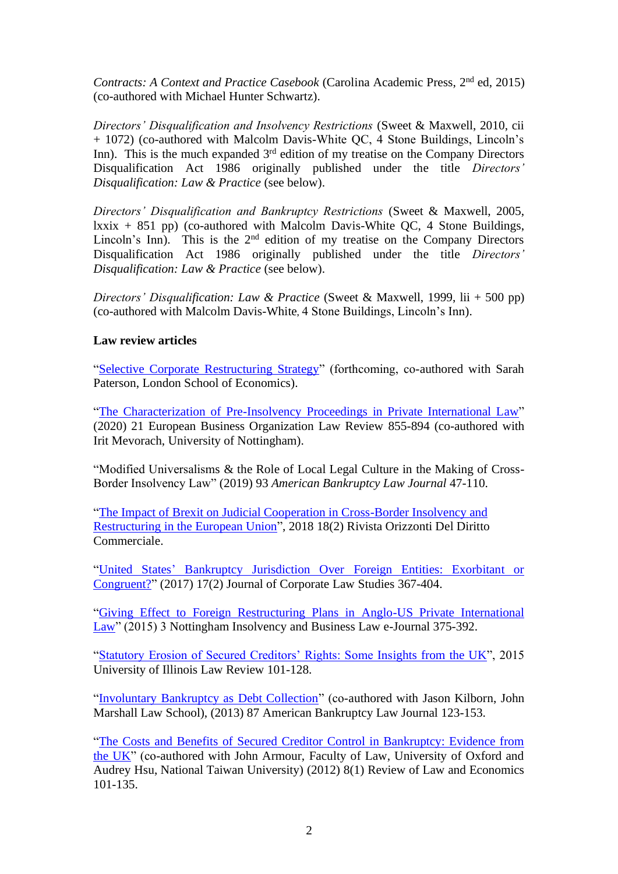Contracts: A Context and Practice Casebook (Carolina Academic Press, 2<sup>nd</sup> ed, 2015) (co-authored with Michael Hunter Schwartz).

*Directors' Disqualification and Insolvency Restrictions* (Sweet & Maxwell, 2010, cii + 1072) (co-authored with Malcolm Davis-White QC, 4 Stone Buildings, Lincoln's Inn). This is the much expanded 3<sup>rd</sup> edition of my treatise on the Company Directors Disqualification Act 1986 originally published under the title *Directors' Disqualification: Law & Practice* (see below).

*Directors' Disqualification and Bankruptcy Restrictions* (Sweet & Maxwell, 2005,  $lxxix + 851$  pp) (co-authored with Malcolm Davis-White QC, 4 Stone Buildings, Lincoln's Inn). This is the 2<sup>nd</sup> edition of my treatise on the Company Directors Disqualification Act 1986 originally published under the title *Directors' Disqualification: Law & Practice* (see below).

*Directors' Disqualification: Law & Practice* (Sweet & Maxwell, 1999, lii + 500 pp) (co-authored with Malcolm Davis-White, 4 Stone Buildings, Lincoln's Inn).

# **Law review articles**

["Selective Corporate Restructuring Strategy"](https://papers.ssrn.com/sol3/papers.cfm?abstract_id=3924225) (forthcoming, co-authored with Sarah Paterson, London School of Economics).

["The Characterization of Pre-Insolvency Proceedings in Private International Law"](https://link.springer.com/article/10.1007/s40804-020-00176-x) (2020) 21 European Business Organization Law Review 855-894 (co-authored with Irit Mevorach, University of Nottingham).

"Modified Universalisms & the Role of Local Legal Culture in the Making of Cross-Border Insolvency Law" (2019) 93 *American Bankruptcy Law Journal* 47-110.

["The Impact of Brexit on Judicial Cooperation in Cross-Border Insolvency and](http://www.rivistaodc.eu/impact-brexit-judicial-cooperation-cross-border-insolvency-eu)  [Restructuring in the European Union"](http://www.rivistaodc.eu/impact-brexit-judicial-cooperation-cross-border-insolvency-eu), 2018 18(2) Rivista Orizzonti Del Diritto Commerciale.

"United States' Bankruptcy Jurisdiction Over [Foreign Entities: Exorbitant or](https://www.tandfonline.com/doi/abs/10.1080/14735970.2017.1299841?journalCode=rcls20)  [Congruent?"](https://www.tandfonline.com/doi/abs/10.1080/14735970.2017.1299841?journalCode=rcls20) (2017) 17(2) Journal of Corporate Law Studies 367-404.

["Giving Effect to Foreign Restructuring Plans in Anglo-US Private International](https://www4.ntu.ac.uk/nls/document_uploads/174836.pdf)  [Law"](https://www4.ntu.ac.uk/nls/document_uploads/174836.pdf) (2015) 3 Nottingham Insolvency and Business Law e-Journal 375-392.

["Statutory Erosion of Secured Creditors' Rights: Some Insights from the UK"](https://illinoislawreview.org/wp-content/ilr-content/articles/2015/2/Walters.pdf), 2015 University of Illinois Law Review 101-128.

["Involuntary Bankruptcy as Debt Collection"](https://papers.ssrn.com/sol3/papers.cfm?abstract_id=2171441) (co-authored with Jason Kilborn, John Marshall Law School), (2013) 87 American Bankruptcy Law Journal 123-153.

["The Costs and Benefits of Secured Creditor Control in Bankruptcy: Evidence from](https://www.degruyter.com/document/doi/10.1515/1555-5879.1507/html)  [the UK"](https://www.degruyter.com/document/doi/10.1515/1555-5879.1507/html) (co-authored with John Armour, Faculty of Law, University of Oxford and Audrey Hsu, National Taiwan University) (2012) 8(1) Review of Law and Economics 101-135.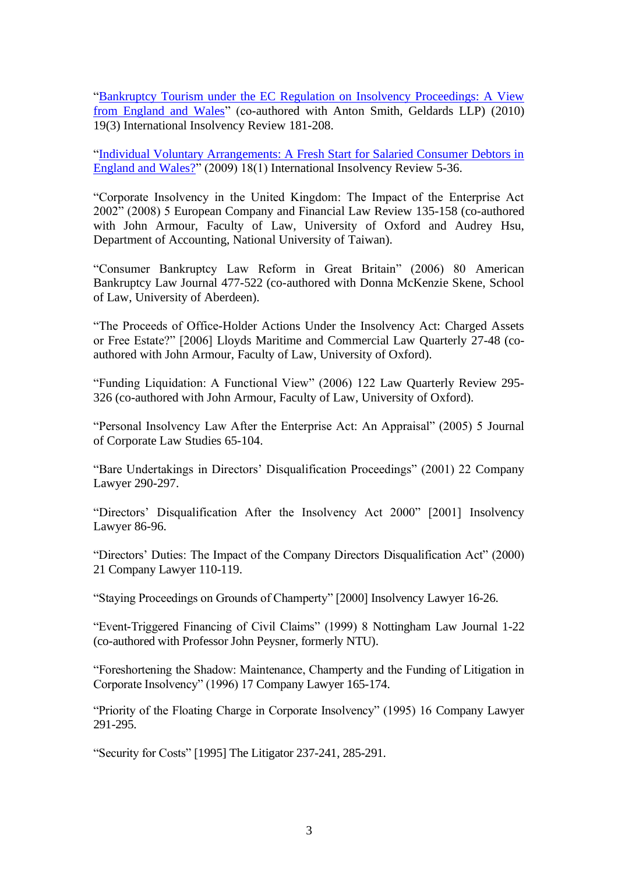["Bankruptcy Tourism under the EC Regulation on Insolvency Proceedings: A View](https://onlinelibrary.wiley.com/doi/abs/10.1002/iir.187)  [from England and Wales"](https://onlinelibrary.wiley.com/doi/abs/10.1002/iir.187) (co-authored with Anton Smith, Geldards LLP) (2010) 19(3) International Insolvency Review 181-208.

["Individual Voluntary Arrangements: A Fresh Start for Salaried Consumer Debtors in](https://onlinelibrary.wiley.com/doi/abs/10.1002/iir.166)  [England and Wales?"](https://onlinelibrary.wiley.com/doi/abs/10.1002/iir.166) (2009) 18(1) International Insolvency Review 5-36.

"Corporate Insolvency in the United Kingdom: The Impact of the Enterprise Act 2002" (2008) 5 European Company and Financial Law Review 135-158 (co-authored with John Armour, Faculty of Law, University of Oxford and Audrey Hsu, Department of Accounting, National University of Taiwan).

"Consumer Bankruptcy Law Reform in Great Britain" (2006) 80 American Bankruptcy Law Journal 477-522 (co-authored with Donna McKenzie Skene, School of Law, University of Aberdeen).

"The Proceeds of Office-Holder Actions Under the Insolvency Act: Charged Assets or Free Estate?" [2006] Lloyds Maritime and Commercial Law Quarterly 27-48 (coauthored with John Armour, Faculty of Law, University of Oxford).

"Funding Liquidation: A Functional View" (2006) 122 Law Quarterly Review 295- 326 (co-authored with John Armour, Faculty of Law, University of Oxford).

"Personal Insolvency Law After the Enterprise Act: An Appraisal" (2005) 5 Journal of Corporate Law Studies 65-104.

"Bare Undertakings in Directors' Disqualification Proceedings" (2001) 22 Company Lawyer 290-297.

"Directors' Disqualification After the Insolvency Act 2000" [2001] Insolvency Lawyer 86-96.

"Directors' Duties: The Impact of the Company Directors Disqualification Act" (2000) 21 Company Lawyer 110-119.

"Staying Proceedings on Grounds of Champerty" [2000] Insolvency Lawyer 16-26.

"Event-Triggered Financing of Civil Claims" (1999) 8 Nottingham Law Journal 1-22 (co-authored with Professor John Peysner, formerly NTU).

"Foreshortening the Shadow: Maintenance, Champerty and the Funding of Litigation in Corporate Insolvency" (1996) 17 Company Lawyer 165-174.

"Priority of the Floating Charge in Corporate Insolvency" (1995) 16 Company Lawyer 291-295.

"Security for Costs" [1995] The Litigator 237-241, 285-291.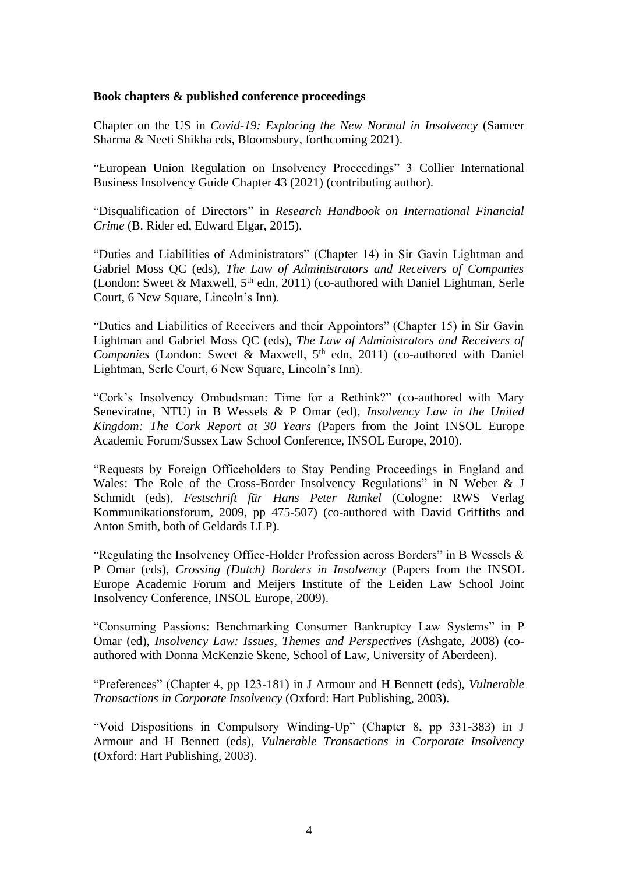#### **Book chapters & published conference proceedings**

Chapter on the US in *Covid-19: Exploring the New Normal in Insolvency* (Sameer Sharma & Neeti Shikha eds, Bloomsbury, forthcoming 2021).

"European Union Regulation on Insolvency Proceedings" 3 Collier International Business Insolvency Guide Chapter 43 (2021) (contributing author).

"Disqualification of Directors" in *Research Handbook on International Financial Crime* (B. Rider ed, Edward Elgar, 2015).

"Duties and Liabilities of Administrators" (Chapter 14) in Sir Gavin Lightman and Gabriel Moss QC (eds), *The Law of Administrators and Receivers of Companies*  (London: Sweet & Maxwell,  $5<sup>th</sup>$  edn, 2011) (co-authored with Daniel Lightman, Serle Court, 6 New Square, Lincoln's Inn).

"Duties and Liabilities of Receivers and their Appointors" (Chapter 15) in Sir Gavin Lightman and Gabriel Moss QC (eds), *The Law of Administrators and Receivers of Companies* (London: Sweet & Maxwell, 5<sup>th</sup> edn, 2011) (co-authored with Daniel Lightman, Serle Court, 6 New Square, Lincoln's Inn).

"Cork's Insolvency Ombudsman: Time for a Rethink?" (co-authored with Mary Seneviratne, NTU) in B Wessels & P Omar (ed), *Insolvency Law in the United Kingdom: The Cork Report at 30 Years* (Papers from the Joint INSOL Europe Academic Forum/Sussex Law School Conference, INSOL Europe, 2010).

"Requests by Foreign Officeholders to Stay Pending Proceedings in England and Wales: The Role of the Cross-Border Insolvency Regulations" in N Weber & J Schmidt (eds), *Festschrift für Hans Peter Runkel* (Cologne: RWS Verlag Kommunikationsforum, 2009, pp 475-507) (co-authored with David Griffiths and Anton Smith, both of Geldards LLP).

"Regulating the Insolvency Office-Holder Profession across Borders" in B Wessels  $\&$ P Omar (eds), *Crossing (Dutch) Borders in Insolvency* (Papers from the INSOL Europe Academic Forum and Meijers Institute of the Leiden Law School Joint Insolvency Conference, INSOL Europe, 2009).

"Consuming Passions: Benchmarking Consumer Bankruptcy Law Systems" in P Omar (ed), *Insolvency Law: Issues, Themes and Perspectives* (Ashgate, 2008) (coauthored with Donna McKenzie Skene, School of Law, University of Aberdeen).

"Preferences" (Chapter 4, pp 123-181) in J Armour and H Bennett (eds), *Vulnerable Transactions in Corporate Insolvency* (Oxford: Hart Publishing, 2003).

"Void Dispositions in Compulsory Winding-Up" (Chapter 8, pp 331-383) in J Armour and H Bennett (eds), *Vulnerable Transactions in Corporate Insolvency*  (Oxford: Hart Publishing, 2003).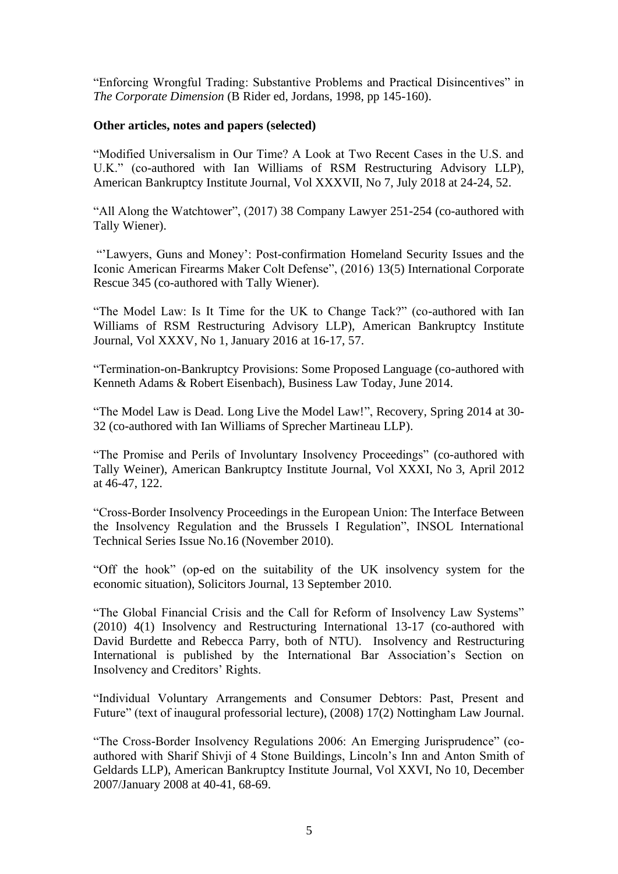"Enforcing Wrongful Trading: Substantive Problems and Practical Disincentives" in *The Corporate Dimension* (B Rider ed, Jordans, 1998, pp 145-160).

### **Other articles, notes and papers (selected)**

"Modified Universalism in Our Time? A Look at Two Recent Cases in the U.S. and U.K." (co-authored with Ian Williams of RSM Restructuring Advisory LLP), American Bankruptcy Institute Journal, Vol XXXVII, No 7, July 2018 at 24-24, 52.

"All Along the Watchtower", (2017) 38 Company Lawyer 251-254 (co-authored with Tally Wiener).

"'Lawyers, Guns and Money': Post-confirmation Homeland Security Issues and the Iconic American Firearms Maker Colt Defense", (2016) 13(5) International Corporate Rescue 345 (co-authored with Tally Wiener).

"The Model Law: Is It Time for the UK to Change Tack?" (co-authored with Ian Williams of RSM Restructuring Advisory LLP), American Bankruptcy Institute Journal, Vol XXXV, No 1, January 2016 at 16-17, 57.

"Termination-on-Bankruptcy Provisions: Some Proposed Language (co-authored with Kenneth Adams & Robert Eisenbach), Business Law Today, June 2014.

"The Model Law is Dead. Long Live the Model Law!", Recovery, Spring 2014 at 30- 32 (co-authored with Ian Williams of Sprecher Martineau LLP).

"The Promise and Perils of Involuntary Insolvency Proceedings" (co-authored with Tally Weiner), American Bankruptcy Institute Journal, Vol XXXI, No 3, April 2012 at 46-47, 122.

"Cross-Border Insolvency Proceedings in the European Union: The Interface Between the Insolvency Regulation and the Brussels I Regulation", INSOL International Technical Series Issue No.16 (November 2010).

"Off the hook" (op-ed on the suitability of the UK insolvency system for the economic situation), Solicitors Journal, 13 September 2010.

"The Global Financial Crisis and the Call for Reform of Insolvency Law Systems" (2010) 4(1) Insolvency and Restructuring International 13-17 (co-authored with David Burdette and Rebecca Parry, both of NTU). Insolvency and Restructuring International is published by the International Bar Association's Section on Insolvency and Creditors' Rights.

"Individual Voluntary Arrangements and Consumer Debtors: Past, Present and Future" (text of inaugural professorial lecture), (2008) 17(2) Nottingham Law Journal.

"The Cross-Border Insolvency Regulations 2006: An Emerging Jurisprudence" (coauthored with Sharif Shivji of 4 Stone Buildings, Lincoln's Inn and Anton Smith of Geldards LLP), American Bankruptcy Institute Journal, Vol XXVI, No 10, December 2007/January 2008 at 40-41, 68-69.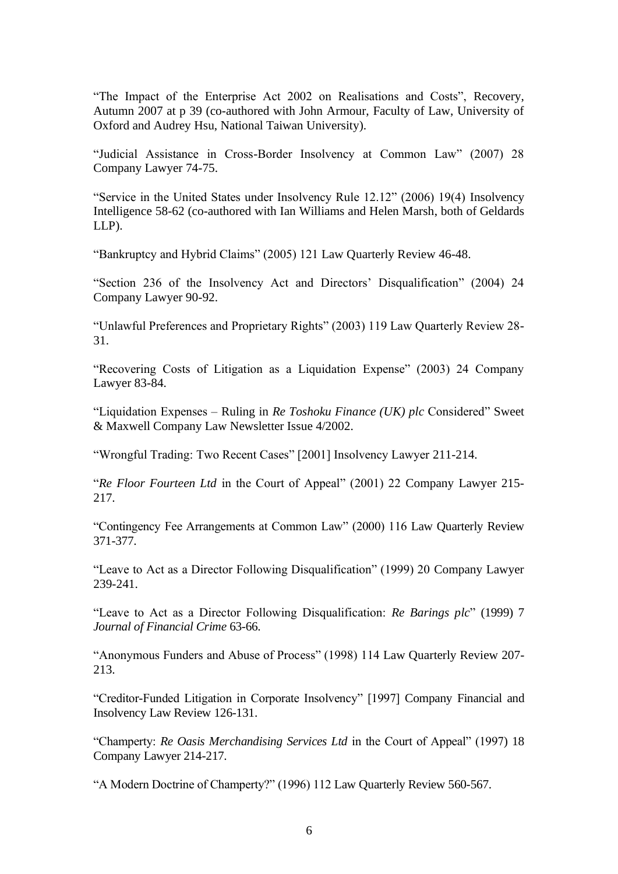"The Impact of the Enterprise Act 2002 on Realisations and Costs", Recovery, Autumn 2007 at p 39 (co-authored with John Armour, Faculty of Law, University of Oxford and Audrey Hsu, National Taiwan University).

"Judicial Assistance in Cross-Border Insolvency at Common Law" (2007) 28 Company Lawyer 74-75.

"Service in the United States under Insolvency Rule 12.12" (2006) 19(4) Insolvency Intelligence 58-62 (co-authored with Ian Williams and Helen Marsh, both of Geldards LLP).

"Bankruptcy and Hybrid Claims" (2005) 121 Law Quarterly Review 46-48.

"Section 236 of the Insolvency Act and Directors' Disqualification" (2004) 24 Company Lawyer 90-92.

"Unlawful Preferences and Proprietary Rights" (2003) 119 Law Quarterly Review 28- 31.

"Recovering Costs of Litigation as a Liquidation Expense" (2003) 24 Company Lawyer 83-84.

"Liquidation Expenses – Ruling in *Re Toshoku Finance (UK) plc* Considered" Sweet & Maxwell Company Law Newsletter Issue 4/2002.

"Wrongful Trading: Two Recent Cases" [2001] Insolvency Lawyer 211-214.

"*Re Floor Fourteen Ltd* in the Court of Appeal" (2001) 22 Company Lawyer 215- 217.

"Contingency Fee Arrangements at Common Law" (2000) 116 Law Quarterly Review 371-377.

"Leave to Act as a Director Following Disqualification" (1999) 20 Company Lawyer 239-241.

"Leave to Act as a Director Following Disqualification: *Re Barings plc*" (1999) 7 *Journal of Financial Crime* 63-66.

"Anonymous Funders and Abuse of Process" (1998) 114 Law Quarterly Review 207- 213.

"Creditor-Funded Litigation in Corporate Insolvency" [1997] Company Financial and Insolvency Law Review 126-131.

"Champerty: *Re Oasis Merchandising Services Ltd* in the Court of Appeal" (1997) 18 Company Lawyer 214-217.

"A Modern Doctrine of Champerty?" (1996) 112 Law Quarterly Review 560-567.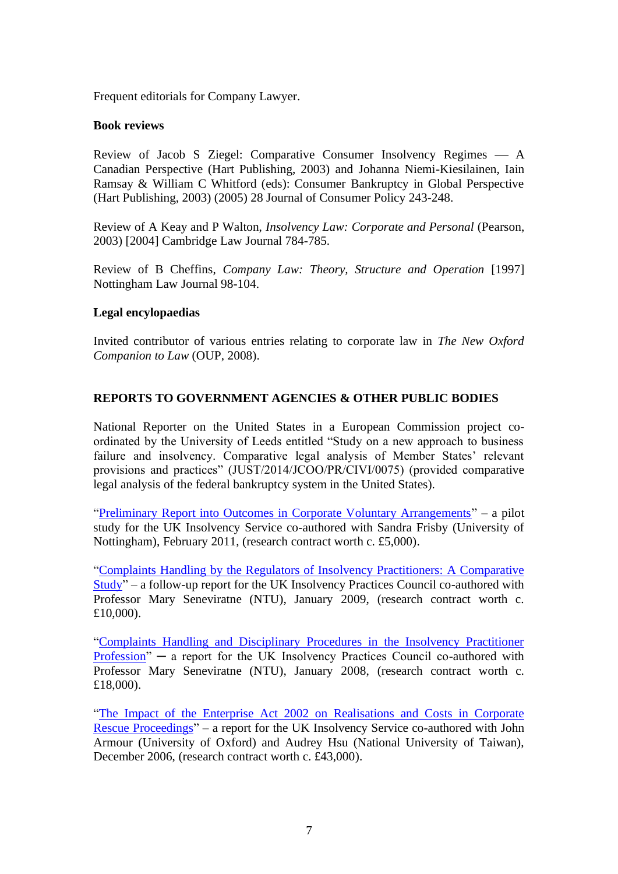Frequent editorials for Company Lawyer.

#### **Book reviews**

Review of Jacob S Ziegel: Comparative Consumer Insolvency Regimes  $\overline{\phantom{a}}$  A Canadian Perspective (Hart Publishing, 2003) and Johanna Niemi-Kiesilainen, Iain Ramsay & William C Whitford (eds): Consumer Bankruptcy in Global Perspective (Hart Publishing, 2003) (2005) 28 Journal of Consumer Policy 243-248.

Review of A Keay and P Walton, *Insolvency Law: Corporate and Personal* (Pearson, 2003) [2004] Cambridge Law Journal 784-785.

Review of B Cheffins, *Company Law: Theory, Structure and Operation* [1997] Nottingham Law Journal 98-104.

#### **Legal encylopaedias**

Invited contributor of various entries relating to corporate law in *The New Oxford Companion to Law* (OUP, 2008).

### **REPORTS TO GOVERNMENT AGENCIES & OTHER PUBLIC BODIES**

National Reporter on the United States in a European Commission project coordinated by the University of Leeds entitled "Study on a new approach to business failure and insolvency. Comparative legal analysis of Member States' relevant provisions and practices" (JUST/2014/JCOO/PR/CIVI/0075) (provided comparative legal analysis of the federal bankruptcy system in the United States).

["Preliminary Report into Outcomes in Corporate Voluntary Arrangements"](https://papers.ssrn.com/sol3/papers.cfm?abstract_id=1792402) – a pilot study for the UK Insolvency Service co-authored with Sandra Frisby (University of Nottingham), February 2011, (research contract worth c. £5,000).

["Complaints Handling by the Regulators of Insolvency Practitioners: A Comparative](https://papers.ssrn.com/sol3/papers.cfm?abstract_id=1310791)  [Study"](https://papers.ssrn.com/sol3/papers.cfm?abstract_id=1310791) – a follow-up report for the UK Insolvency Practices Council co-authored with Professor Mary Seneviratne (NTU), January 2009, (research contract worth c. £10,000).

["Complaints Handling and Disciplinary Procedures in the Insolvency Practitioner](https://papers.ssrn.com/sol3/papers.cfm?abstract_id=1094757)   $Profession'' - a report for the UK Insolvency Fractices Council co-authored with$ Professor Mary Seneviratne (NTU), January 2008, (research contract worth c. £18,000).

["The Impact of the Enterprise Act 2002 on Realisations and Costs in Corporate](http://www.cbr.cam.ac.uk/research/research-projects/completed-projects/impact-of-the-enterprise-act-2002/)  [Rescue Proceedings"](http://www.cbr.cam.ac.uk/research/research-projects/completed-projects/impact-of-the-enterprise-act-2002/) – a report for the UK Insolvency Service co-authored with John Armour (University of Oxford) and Audrey Hsu (National University of Taiwan), December 2006, (research contract worth c. £43,000).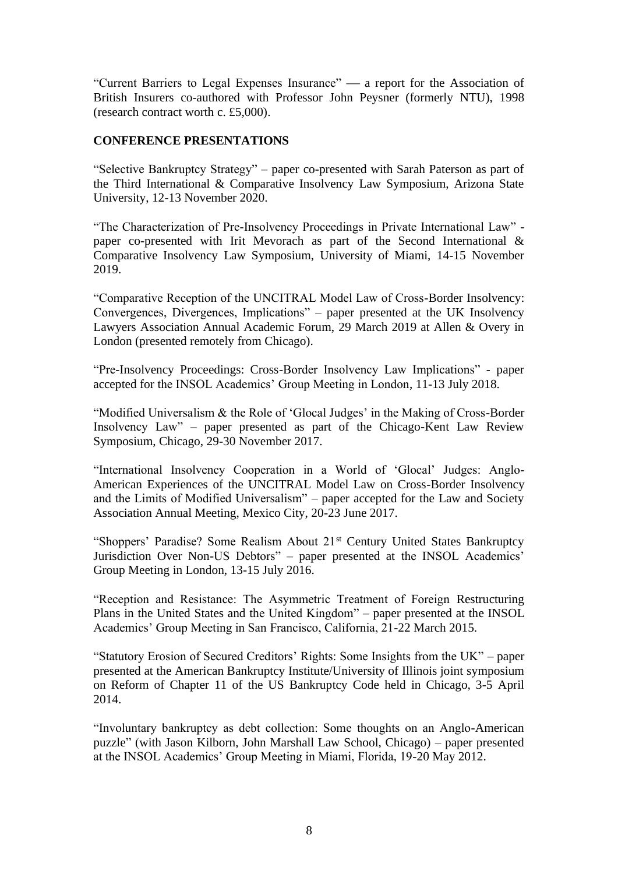"Current Barriers to Legal Expenses Insurance"  $\frac{1}{2}$  a report for the Association of British Insurers co-authored with Professor John Peysner (formerly NTU), 1998 (research contract worth c. £5,000).

#### **CONFERENCE PRESENTATIONS**

"Selective Bankruptcy Strategy" – paper co-presented with Sarah Paterson as part of the Third International & Comparative Insolvency Law Symposium, Arizona State University, 12-13 November 2020.

"The Characterization of Pre-Insolvency Proceedings in Private International Law" paper co-presented with Irit Mevorach as part of the Second International & Comparative Insolvency Law Symposium, University of Miami, 14-15 November 2019.

"Comparative Reception of the UNCITRAL Model Law of Cross-Border Insolvency: Convergences, Divergences, Implications" – paper presented at the UK Insolvency Lawyers Association Annual Academic Forum, 29 March 2019 at Allen & Overy in London (presented remotely from Chicago).

"Pre-Insolvency Proceedings: Cross-Border Insolvency Law Implications" - paper accepted for the INSOL Academics' Group Meeting in London, 11-13 July 2018.

"Modified Universalism & the Role of 'Glocal Judges' in the Making of Cross-Border Insolvency Law" – paper presented as part of the Chicago-Kent Law Review Symposium, Chicago, 29-30 November 2017.

"International Insolvency Cooperation in a World of 'Glocal' Judges: Anglo-American Experiences of the UNCITRAL Model Law on Cross-Border Insolvency and the Limits of Modified Universalism" – paper accepted for the Law and Society Association Annual Meeting, Mexico City, 20-23 June 2017.

"Shoppers' Paradise? Some Realism About 21<sup>st</sup> Century United States Bankruptcy Jurisdiction Over Non-US Debtors" – paper presented at the INSOL Academics' Group Meeting in London, 13-15 July 2016.

"Reception and Resistance: The Asymmetric Treatment of Foreign Restructuring Plans in the United States and the United Kingdom" – paper presented at the INSOL Academics' Group Meeting in San Francisco, California, 21-22 March 2015.

"Statutory Erosion of Secured Creditors' Rights: Some Insights from the UK" – paper presented at the American Bankruptcy Institute/University of Illinois joint symposium on Reform of Chapter 11 of the US Bankruptcy Code held in Chicago, 3-5 April 2014.

"Involuntary bankruptcy as debt collection: Some thoughts on an Anglo-American puzzle" (with Jason Kilborn, John Marshall Law School, Chicago) – paper presented at the INSOL Academics' Group Meeting in Miami, Florida, 19-20 May 2012.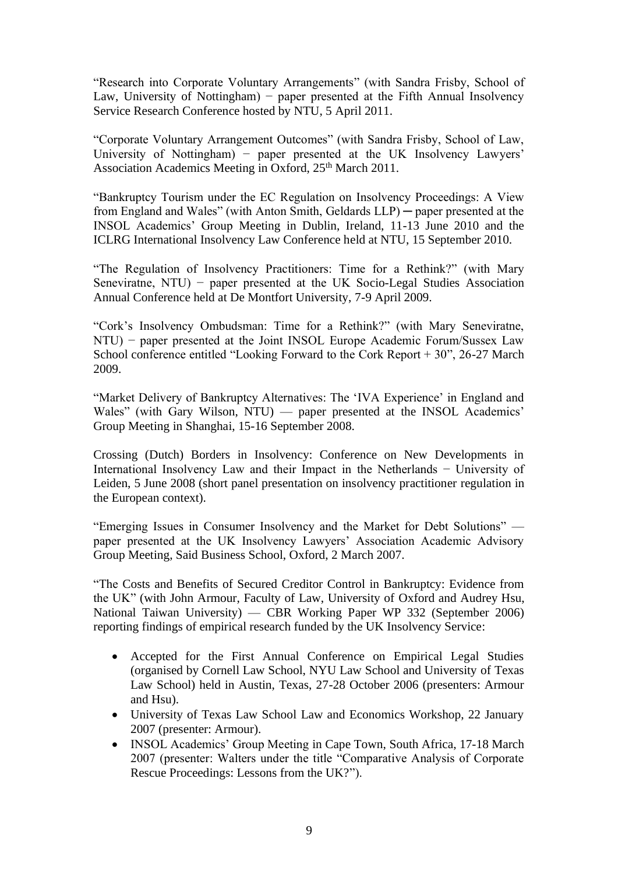"Research into Corporate Voluntary Arrangements" (with Sandra Frisby, School of Law, University of Nottingham) – paper presented at the Fifth Annual Insolvency Service Research Conference hosted by NTU, 5 April 2011.

"Corporate Voluntary Arrangement Outcomes" (with Sandra Frisby, School of Law, University of Nottingham) – paper presented at the UK Insolvency Lawyers' Association Academics Meeting in Oxford, 25<sup>th</sup> March 2011.

"Bankruptcy Tourism under the EC Regulation on Insolvency Proceedings: A View from England and Wales" (with Anton Smith, Geldards LLP) ─ paper presented at the INSOL Academics' Group Meeting in Dublin, Ireland, 11-13 June 2010 and the ICLRG International Insolvency Law Conference held at NTU, 15 September 2010.

"The Regulation of Insolvency Practitioners: Time for a Rethink?" (with Mary Seneviratne, NTU) – paper presented at the UK Socio-Legal Studies Association Annual Conference held at De Montfort University, 7-9 April 2009.

"Cork's Insolvency Ombudsman: Time for a Rethink?" (with Mary Seneviratne, NTU) − paper presented at the Joint INSOL Europe Academic Forum/Sussex Law School conference entitled "Looking Forward to the Cork Report + 30", 26-27 March 2009.

"Market Delivery of Bankruptcy Alternatives: The 'IVA Experience' in England and Wales" (with Gary Wilson, NTU) — paper presented at the INSOL Academics' Group Meeting in Shanghai, 15-16 September 2008.

Crossing (Dutch) Borders in Insolvency: Conference on New Developments in International Insolvency Law and their Impact in the Netherlands − University of Leiden, 5 June 2008 (short panel presentation on insolvency practitioner regulation in the European context).

"Emerging Issues in Consumer Insolvency and the Market for Debt Solutions" paper presented at the UK Insolvency Lawyers' Association Academic Advisory Group Meeting, Said Business School, Oxford, 2 March 2007.

"The Costs and Benefits of Secured Creditor Control in Bankruptcy: Evidence from the UK" (with John Armour, Faculty of Law, University of Oxford and Audrey Hsu, National Taiwan University) — CBR Working Paper WP 332 (September 2006) reporting findings of empirical research funded by the UK Insolvency Service:

- Accepted for the First Annual Conference on Empirical Legal Studies (organised by Cornell Law School, NYU Law School and University of Texas Law School) held in Austin, Texas, 27-28 October 2006 (presenters: Armour and Hsu).
- University of Texas Law School Law and Economics Workshop, 22 January 2007 (presenter: Armour).
- INSOL Academics' Group Meeting in Cape Town, South Africa, 17-18 March 2007 (presenter: Walters under the title "Comparative Analysis of Corporate Rescue Proceedings: Lessons from the UK?").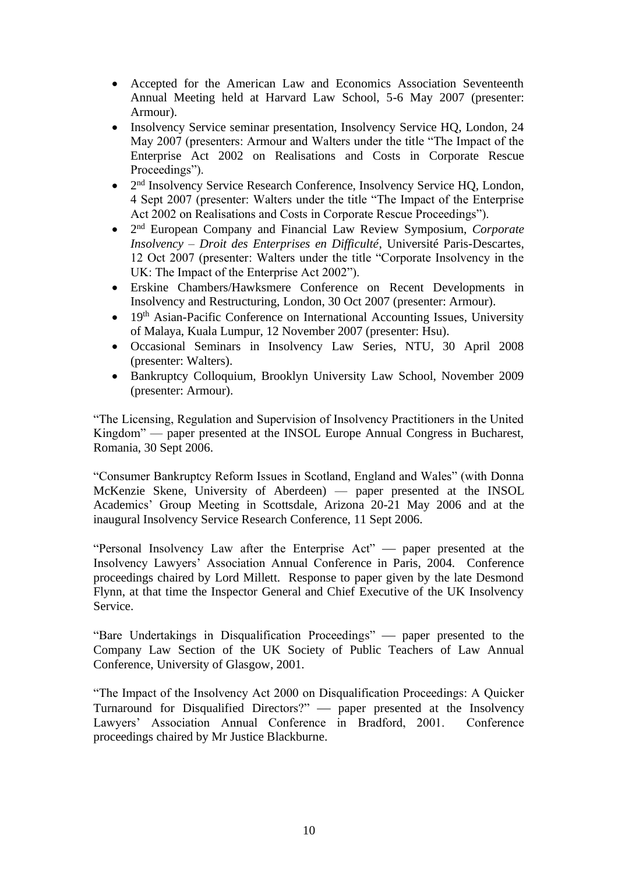- Accepted for the American Law and Economics Association Seventeenth Annual Meeting held at Harvard Law School, 5-6 May 2007 (presenter: Armour).
- Insolvency Service seminar presentation, Insolvency Service HO, London, 24 May 2007 (presenters: Armour and Walters under the title "The Impact of the Enterprise Act 2002 on Realisations and Costs in Corporate Rescue Proceedings").
- $\bullet$ 2<sup>nd</sup> Insolvency Service Research Conference, Insolvency Service HQ, London, 4 Sept 2007 (presenter: Walters under the title "The Impact of the Enterprise Act 2002 on Realisations and Costs in Corporate Rescue Proceedings").
- 2 nd European Company and Financial Law Review Symposium, *Corporate Insolvency – Droit des Enterprises en Difficulté*, Université Paris-Descartes, 12 Oct 2007 (presenter: Walters under the title "Corporate Insolvency in the UK: The Impact of the Enterprise Act 2002").
- Erskine Chambers/Hawksmere Conference on Recent Developments in Insolvency and Restructuring, London, 30 Oct 2007 (presenter: Armour).
- 19<sup>th</sup> Asian-Pacific Conference on International Accounting Issues, University of Malaya, Kuala Lumpur, 12 November 2007 (presenter: Hsu).
- Occasional Seminars in Insolvency Law Series, NTU, 30 April 2008 (presenter: Walters).
- Bankruptcy Colloquium, Brooklyn University Law School, November 2009 (presenter: Armour).

"The Licensing, Regulation and Supervision of Insolvency Practitioners in the United Kingdom" — paper presented at the INSOL Europe Annual Congress in Bucharest, Romania, 30 Sept 2006.

"Consumer Bankruptcy Reform Issues in Scotland, England and Wales" (with Donna McKenzie Skene, University of Aberdeen) — paper presented at the INSOL Academics' Group Meeting in Scottsdale, Arizona 20-21 May 2006 and at the inaugural Insolvency Service Research Conference, 11 Sept 2006.

"Personal Insolvency Law after the Enterprise Act" — paper presented at the Insolvency Lawyers' Association Annual Conference in Paris, 2004. Conference proceedings chaired by Lord Millett. Response to paper given by the late Desmond Flynn, at that time the Inspector General and Chief Executive of the UK Insolvency Service.

"Bare Undertakings in Disqualification Proceedings" — paper presented to the Company Law Section of the UK Society of Public Teachers of Law Annual Conference, University of Glasgow, 2001.

"The Impact of the Insolvency Act 2000 on Disqualification Proceedings: A Quicker Turnaround for Disqualified Directors?" — paper presented at the Insolvency Lawyers' Association Annual Conference in Bradford, 2001. Conference proceedings chaired by Mr Justice Blackburne.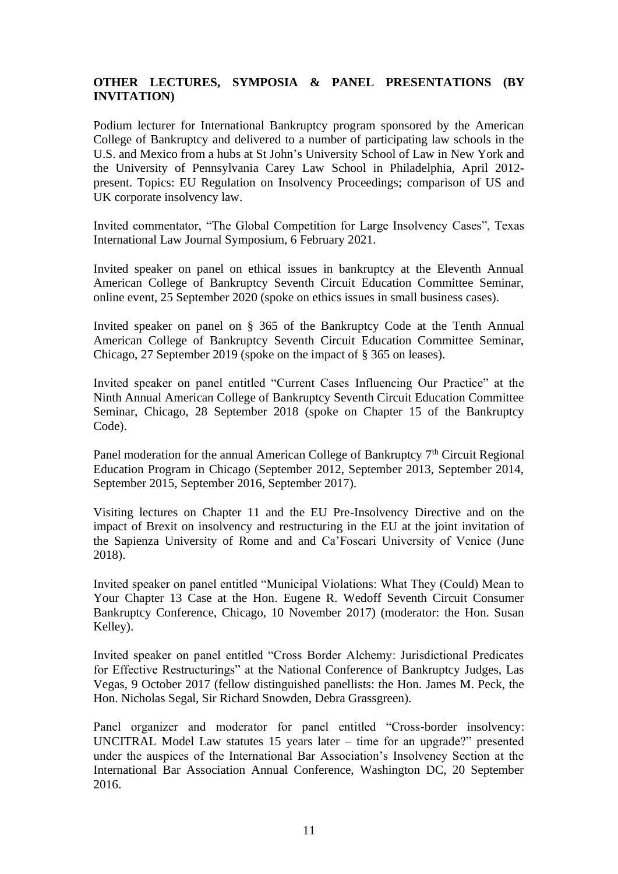# **OTHER LECTURES, SYMPOSIA & PANEL PRESENTATIONS (BY INVITATION)**

Podium lecturer for International Bankruptcy program sponsored by the American College of Bankruptcy and delivered to a number of participating law schools in the U.S. and Mexico from a hubs at St John's University School of Law in New York and the University of Pennsylvania Carey Law School in Philadelphia, April 2012 present. Topics: EU Regulation on Insolvency Proceedings; comparison of US and UK corporate insolvency law.

Invited commentator, "The Global Competition for Large Insolvency Cases", Texas International Law Journal Symposium, 6 February 2021.

Invited speaker on panel on ethical issues in bankruptcy at the Eleventh Annual American College of Bankruptcy Seventh Circuit Education Committee Seminar, online event, 25 September 2020 (spoke on ethics issues in small business cases).

Invited speaker on panel on § 365 of the Bankruptcy Code at the Tenth Annual American College of Bankruptcy Seventh Circuit Education Committee Seminar, Chicago, 27 September 2019 (spoke on the impact of § 365 on leases).

Invited speaker on panel entitled "Current Cases Influencing Our Practice" at the Ninth Annual American College of Bankruptcy Seventh Circuit Education Committee Seminar, Chicago, 28 September 2018 (spoke on Chapter 15 of the Bankruptcy Code).

Panel moderation for the annual American College of Bankruptcy  $7<sup>th</sup>$  Circuit Regional Education Program in Chicago (September 2012, September 2013, September 2014, September 2015, September 2016, September 2017).

Visiting lectures on Chapter 11 and the EU Pre-Insolvency Directive and on the impact of Brexit on insolvency and restructuring in the EU at the joint invitation of the Sapienza University of Rome and and Ca'Foscari University of Venice (June 2018).

Invited speaker on panel entitled "Municipal Violations: What They (Could) Mean to Your Chapter 13 Case at the Hon. Eugene R. Wedoff Seventh Circuit Consumer Bankruptcy Conference, Chicago, 10 November 2017) (moderator: the Hon. Susan Kelley).

Invited speaker on panel entitled "Cross Border Alchemy: Jurisdictional Predicates for Effective Restructurings" at the National Conference of Bankruptcy Judges, Las Vegas, 9 October 2017 (fellow distinguished panellists: the Hon. James M. Peck, the Hon. Nicholas Segal, Sir Richard Snowden, Debra Grassgreen).

Panel organizer and moderator for panel entitled "Cross-border insolvency: UNCITRAL Model Law statutes 15 years later – time for an upgrade?" presented under the auspices of the International Bar Association's Insolvency Section at the International Bar Association Annual Conference, Washington DC, 20 September 2016.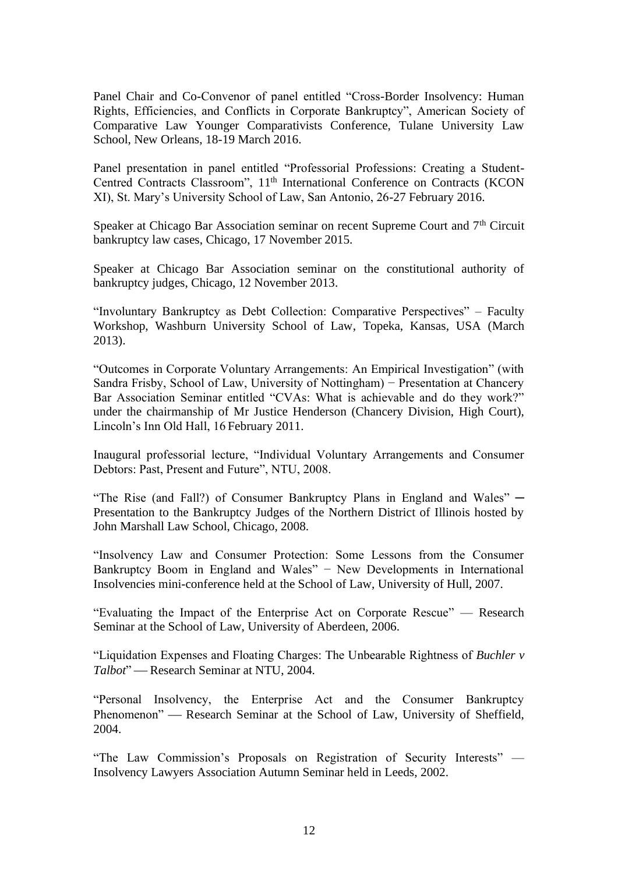Panel Chair and Co-Convenor of panel entitled "Cross-Border Insolvency: Human Rights, Efficiencies, and Conflicts in Corporate Bankruptcy", American Society of Comparative Law Younger Comparativists Conference, Tulane University Law School, New Orleans, 18-19 March 2016.

Panel presentation in panel entitled "Professorial Professions: Creating a Student-Centred Contracts Classroom", 11<sup>th</sup> International Conference on Contracts (KCON XI), St. Mary's University School of Law, San Antonio, 26-27 February 2016.

Speaker at Chicago Bar Association seminar on recent Supreme Court and 7<sup>th</sup> Circuit bankruptcy law cases, Chicago, 17 November 2015.

Speaker at Chicago Bar Association seminar on the constitutional authority of bankruptcy judges, Chicago, 12 November 2013.

"Involuntary Bankruptcy as Debt Collection: Comparative Perspectives" – Faculty Workshop, Washburn University School of Law, Topeka, Kansas, USA (March 2013).

"Outcomes in Corporate Voluntary Arrangements: An Empirical Investigation" (with Sandra Frisby, School of Law, University of Nottingham) − Presentation at Chancery Bar Association Seminar entitled "CVAs: What is achievable and do they work?" under the chairmanship of Mr Justice Henderson (Chancery Division, High Court), Lincoln's Inn Old Hall, 16 February 2011.

Inaugural professorial lecture, "Individual Voluntary Arrangements and Consumer Debtors: Past, Present and Future", NTU, 2008.

"The Rise (and Fall?) of Consumer Bankruptcy Plans in England and Wales"  $-$ Presentation to the Bankruptcy Judges of the Northern District of Illinois hosted by John Marshall Law School, Chicago, 2008.

"Insolvency Law and Consumer Protection: Some Lessons from the Consumer Bankruptcy Boom in England and Wales" − New Developments in International Insolvencies mini-conference held at the School of Law, University of Hull, 2007.

"Evaluating the Impact of the Enterprise Act on Corporate Rescue" — Research Seminar at the School of Law, University of Aberdeen, 2006.

"Liquidation Expenses and Floating Charges: The Unbearable Rightness of *Buchler v Talbot*" — Research Seminar at NTU, 2004.

"Personal Insolvency, the Enterprise Act and the Consumer Bankruptcy Phenomenon" — Research Seminar at the School of Law, University of Sheffield, 2004.

"The Law Commission's Proposals on Registration of Security Interests" — Insolvency Lawyers Association Autumn Seminar held in Leeds, 2002.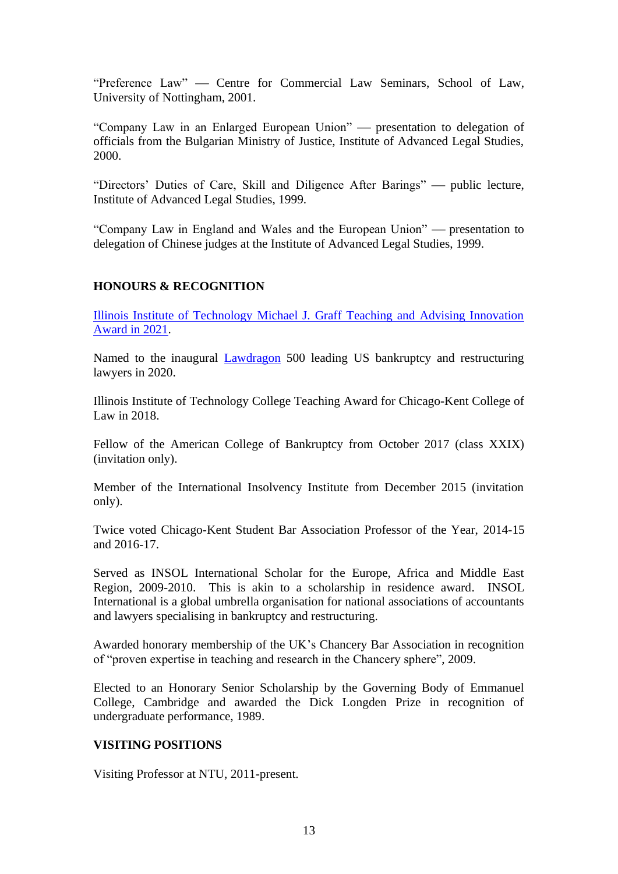"Preference Law" — Centre for Commercial Law Seminars, School of Law, University of Nottingham, 2001.

"Company Law in an Enlarged European Union" — presentation to delegation of officials from the Bulgarian Ministry of Justice, Institute of Advanced Legal Studies, 2000.

"Directors' Duties of Care, Skill and Diligence After Barings" — public lecture, Institute of Advanced Legal Studies, 1999.

"Company Law in England and Wales and the European Union" — presentation to delegation of Chinese judges at the Institute of Advanced Legal Studies, 1999.

# **HONOURS & RECOGNITION**

[Illinois Institute of Technology Michael J. Graff Teaching and Advising Innovation](https://www.kentlaw.iit.edu/news/2021/adrian-walters-micahel-graff-award)  [Award in 2021.](https://www.kentlaw.iit.edu/news/2021/adrian-walters-micahel-graff-award)

Named to the inaugural [Lawdragon](https://www.lawdragon.com/2020/07/24/the-2020-lawdragon-500-leading-u-s-bankruptcy-restructuring-lawyers/) 500 leading US bankruptcy and restructuring lawyers in 2020.

Illinois Institute of Technology College Teaching Award for Chicago-Kent College of Law in 2018.

Fellow of the American College of Bankruptcy from October 2017 (class XXIX) (invitation only).

Member of the International Insolvency Institute from December 2015 (invitation only).

Twice voted Chicago-Kent Student Bar Association Professor of the Year, 2014-15 and 2016-17.

Served as INSOL International Scholar for the Europe, Africa and Middle East Region, 2009-2010. This is akin to a scholarship in residence award. INSOL International is a global umbrella organisation for national associations of accountants and lawyers specialising in bankruptcy and restructuring.

Awarded honorary membership of the UK's Chancery Bar Association in recognition of "proven expertise in teaching and research in the Chancery sphere", 2009.

Elected to an Honorary Senior Scholarship by the Governing Body of Emmanuel College, Cambridge and awarded the Dick Longden Prize in recognition of undergraduate performance, 1989.

### **VISITING POSITIONS**

Visiting Professor at NTU, 2011-present.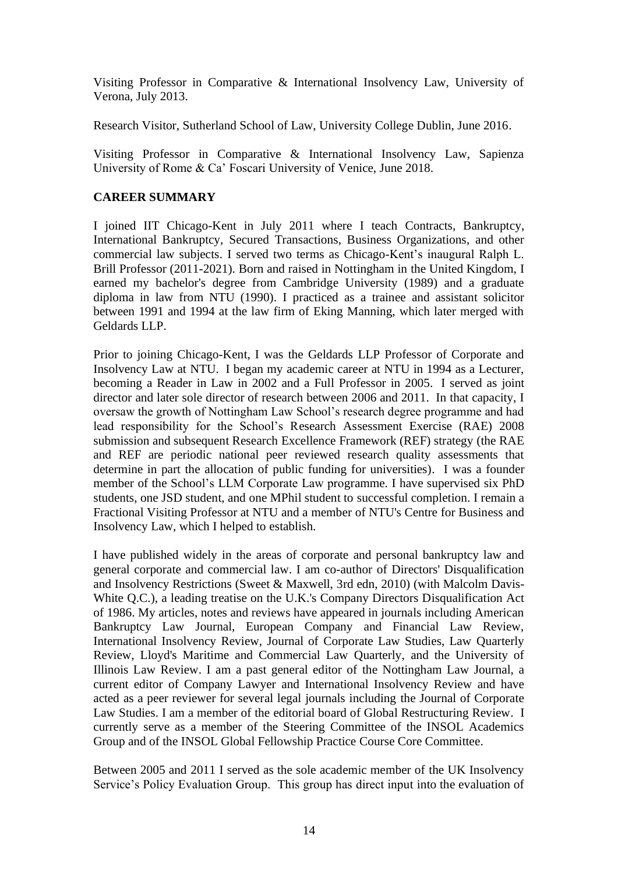Visiting Professor in Comparative & International Insolvency Law, University of Verona, July 2013.

Research Visitor, Sutherland School of Law, University College Dublin, June 2016.

Visiting Professor in Comparative & International Insolvency Law, Sapienza University of Rome & Ca' Foscari University of Venice, June 2018.

# **CAREER SUMMARY**

I joined IIT Chicago-Kent in July 2011 where I teach Contracts, Bankruptcy, International Bankruptcy, Secured Transactions, Business Organizations, and other commercial law subjects. I served two terms as Chicago-Kent's inaugural Ralph L. Brill Professor (2011-2021). Born and raised in Nottingham in the United Kingdom, I earned my bachelor's degree from Cambridge University (1989) and a graduate diploma in law from NTU (1990). I practiced as a trainee and assistant solicitor between 1991 and 1994 at the law firm of Eking Manning, which later merged with Geldards LLP.

Prior to joining Chicago-Kent, I was the Geldards LLP Professor of Corporate and Insolvency Law at NTU. I began my academic career at NTU in 1994 as a Lecturer, becoming a Reader in Law in 2002 and a Full Professor in 2005. I served as joint director and later sole director of research between 2006 and 2011. In that capacity, I oversaw the growth of Nottingham Law School's research degree programme and had lead responsibility for the School's Research Assessment Exercise (RAE) 2008 submission and subsequent Research Excellence Framework (REF) strategy (the RAE and REF are periodic national peer reviewed research quality assessments that determine in part the allocation of public funding for universities). I was a founder member of the School's LLM Corporate Law programme. I have supervised six PhD students, one JSD student, and one MPhil student to successful completion. I remain a Fractional Visiting Professor at NTU and a member of NTU's Centre for Business and Insolvency Law, which I helped to establish.

I have published widely in the areas of corporate and personal bankruptcy law and general corporate and commercial law. I am co-author of Directors' Disqualification and Insolvency Restrictions (Sweet & Maxwell, 3rd edn, 2010) (with Malcolm Davis-White Q.C.), a leading treatise on the U.K.'s Company Directors Disqualification Act of 1986. My articles, notes and reviews have appeared in journals including American Bankruptcy Law Journal, European Company and Financial Law Review, International Insolvency Review, Journal of Corporate Law Studies, Law Quarterly Review, Lloyd's Maritime and Commercial Law Quarterly, and the University of Illinois Law Review. I am a past general editor of the Nottingham Law Journal, a current editor of Company Lawyer and International Insolvency Review and have acted as a peer reviewer for several legal journals including the Journal of Corporate Law Studies. I am a member of the editorial board of Global Restructuring Review. I currently serve as a member of the Steering Committee of the INSOL Academics Group and of the INSOL Global Fellowship Practice Course Core Committee.

Between 2005 and 2011 I served as the sole academic member of the UK Insolvency Service's Policy Evaluation Group. This group has direct input into the evaluation of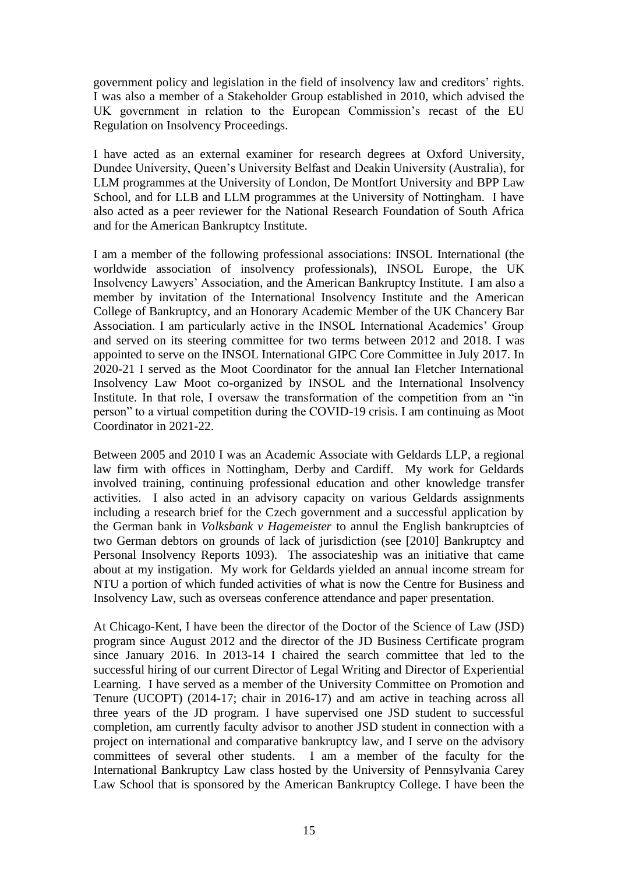government policy and legislation in the field of insolvency law and creditors' rights. I was also a member of a Stakeholder Group established in 2010, which advised the UK government in relation to the European Commission's recast of the EU Regulation on Insolvency Proceedings.

I have acted as an external examiner for research degrees at Oxford University, Dundee University, Queen's University Belfast and Deakin University (Australia), for LLM programmes at the University of London, De Montfort University and BPP Law School, and for LLB and LLM programmes at the University of Nottingham. I have also acted as a peer reviewer for the National Research Foundation of South Africa and for the American Bankruptcy Institute.

I am a member of the following professional associations: INSOL International (the worldwide association of insolvency professionals), INSOL Europe, the UK Insolvency Lawyers' Association, and the American Bankruptcy Institute. I am also a member by invitation of the International Insolvency Institute and the American College of Bankruptcy, and an Honorary Academic Member of the UK Chancery Bar Association. I am particularly active in the INSOL International Academics' Group and served on its steering committee for two terms between 2012 and 2018. I was appointed to serve on the INSOL International GIPC Core Committee in July 2017. In 2020-21 I served as the Moot Coordinator for the annual Ian Fletcher International Insolvency Law Moot co-organized by INSOL and the International Insolvency Institute. In that role, I oversaw the transformation of the competition from an "in person" to a virtual competition during the COVID-19 crisis. I am continuing as Moot Coordinator in 2021-22.

Between 2005 and 2010 I was an Academic Associate with Geldards LLP, a regional law firm with offices in Nottingham, Derby and Cardiff. My work for Geldards involved training, continuing professional education and other knowledge transfer activities. I also acted in an advisory capacity on various Geldards assignments including a research brief for the Czech government and a successful application by the German bank in *Volksbank v Hagemeister* to annul the English bankruptcies of two German debtors on grounds of lack of jurisdiction (see [2010] Bankruptcy and Personal Insolvency Reports 1093). The associateship was an initiative that came about at my instigation. My work for Geldards yielded an annual income stream for NTU a portion of which funded activities of what is now the Centre for Business and Insolvency Law, such as overseas conference attendance and paper presentation.

At Chicago-Kent, I have been the director of the Doctor of the Science of Law (JSD) program since August 2012 and the director of the JD Business Certificate program since January 2016. In 2013-14 I chaired the search committee that led to the successful hiring of our current Director of Legal Writing and Director of Experiential Learning. I have served as a member of the University Committee on Promotion and Tenure (UCOPT) (2014-17; chair in 2016-17) and am active in teaching across all three years of the JD program. I have supervised one JSD student to successful completion, am currently faculty advisor to another JSD student in connection with a project on international and comparative bankruptcy law, and I serve on the advisory committees of several other students. I am a member of the faculty for the International Bankruptcy Law class hosted by the University of Pennsylvania Carey Law School that is sponsored by the American Bankruptcy College. I have been the